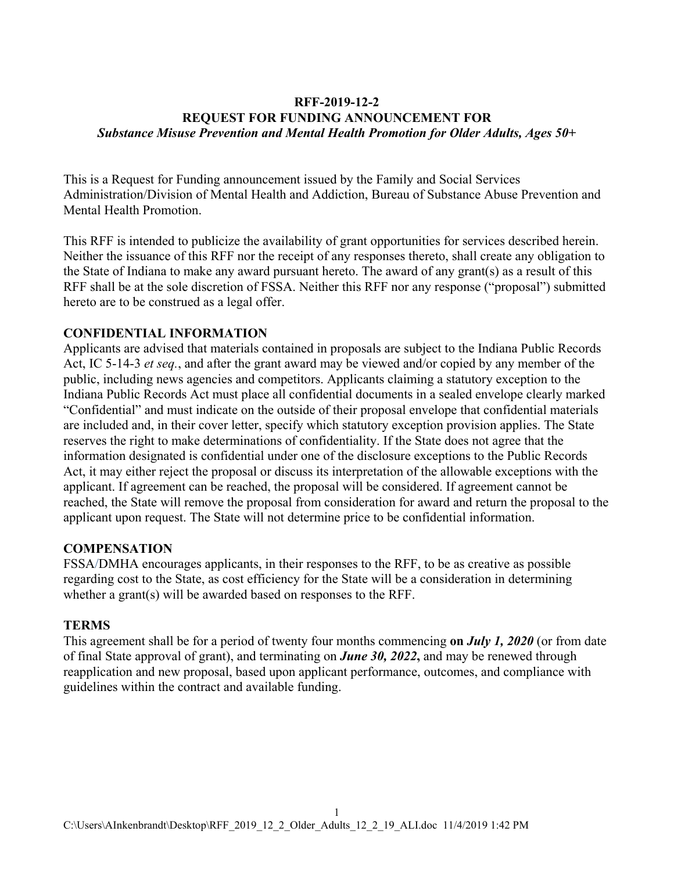## **RFF-2019-12-2 REQUEST FOR FUNDING ANNOUNCEMENT FOR** *Substance Misuse Prevention and Mental Health Promotion for Older Adults, Ages 50+*

This is a Request for Funding announcement issued by the Family and Social Services Administration/Division of Mental Health and Addiction, Bureau of Substance Abuse Prevention and Mental Health Promotion.

This RFF is intended to publicize the availability of grant opportunities for services described herein. Neither the issuance of this RFF nor the receipt of any responses thereto, shall create any obligation to the State of Indiana to make any award pursuant hereto. The award of any grant(s) as a result of this RFF shall be at the sole discretion of FSSA. Neither this RFF nor any response ("proposal") submitted hereto are to be construed as a legal offer.

#### **CONFIDENTIAL INFORMATION**

Applicants are advised that materials contained in proposals are subject to the Indiana Public Records Act, IC 5-14-3 *et seq.*, and after the grant award may be viewed and/or copied by any member of the public, including news agencies and competitors. Applicants claiming a statutory exception to the Indiana Public Records Act must place all confidential documents in a sealed envelope clearly marked "Confidential" and must indicate on the outside of their proposal envelope that confidential materials are included and, in their cover letter, specify which statutory exception provision applies. The State reserves the right to make determinations of confidentiality. If the State does not agree that the information designated is confidential under one of the disclosure exceptions to the Public Records Act, it may either reject the proposal or discuss its interpretation of the allowable exceptions with the applicant. If agreement can be reached, the proposal will be considered. If agreement cannot be reached, the State will remove the proposal from consideration for award and return the proposal to the applicant upon request. The State will not determine price to be confidential information.

#### **COMPENSATION**

FSSA/DMHA encourages applicants, in their responses to the RFF, to be as creative as possible regarding cost to the State, as cost efficiency for the State will be a consideration in determining whether a grant(s) will be awarded based on responses to the RFF.

#### **TERMS**

This agreement shall be for a period of twenty four months commencing **on** *July 1, 2020* (or from date of final State approval of grant), and terminating on *June 30, 2022***,** and may be renewed through reapplication and new proposal, based upon applicant performance, outcomes, and compliance with guidelines within the contract and available funding.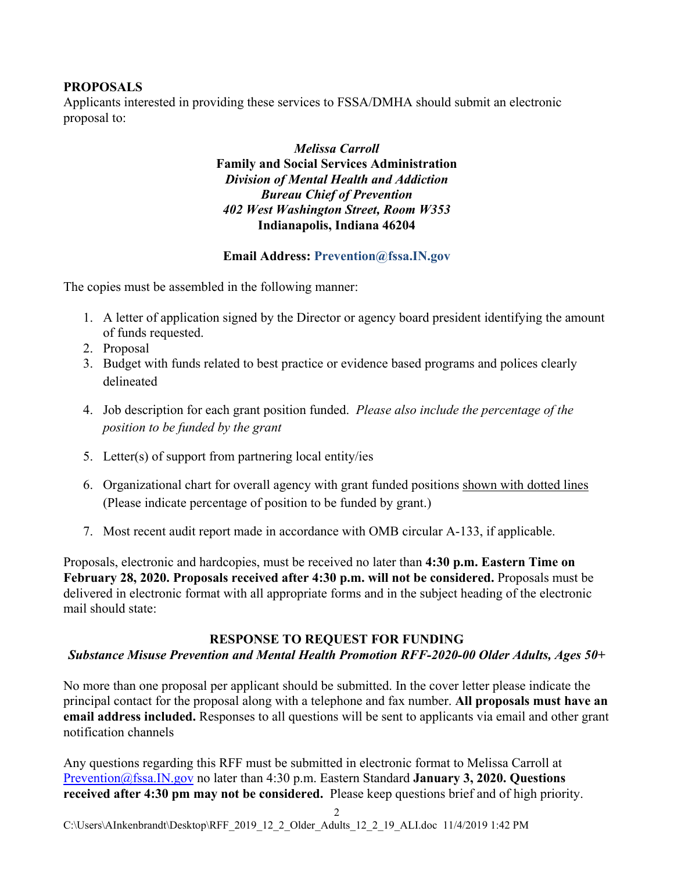## **PROPOSALS**

Applicants interested in providing these services to FSSA/DMHA should submit an electronic proposal to:

> *Melissa Carroll* **Family and Social Services Administration** *Division of Mental Health and Addiction Bureau Chief of Prevention 402 West Washington Street, Room W353* **Indianapolis, Indiana 46204**

#### **Email Address: Prevention@fssa.IN.gov**

The copies must be assembled in the following manner:

- 1. A letter of application signed by the Director or agency board president identifying the amount of funds requested.
- 2. Proposal
- 3. Budget with funds related to best practice or evidence based programs and polices clearly delineated
- 4. Job description for each grant position funded. *Please also include the percentage of the position to be funded by the grant*
- 5. Letter(s) of support from partnering local entity/ies
- 6. Organizational chart for overall agency with grant funded positions shown with dotted lines (Please indicate percentage of position to be funded by grant.)
- 7. Most recent audit report made in accordance with OMB circular A-133, if applicable.

Proposals, electronic and hardcopies, must be received no later than **4:30 p.m. Eastern Time on February 28, 2020. Proposals received after 4:30 p.m. will not be considered.** Proposals must be delivered in electronic format with all appropriate forms and in the subject heading of the electronic mail should state:

#### **RESPONSE TO REQUEST FOR FUNDING**

#### *Substance Misuse Prevention and Mental Health Promotion RFF-2020-00 Older Adults, Ages 50+*

No more than one proposal per applicant should be submitted. In the cover letter please indicate the principal contact for the proposal along with a telephone and fax number. **All proposals must have an email address included.** Responses to all questions will be sent to applicants via email and other grant notification channels

Any questions regarding this RFF must be submitted in electronic format to Melissa Carroll at [Prevention@fssa.IN.gov](mailto:Prevention@fssa.IN.gov) no later than 4:30 p.m. Eastern Standard **January 3, 2020. Questions received after 4:30 pm may not be considered.** Please keep questions brief and of high priority.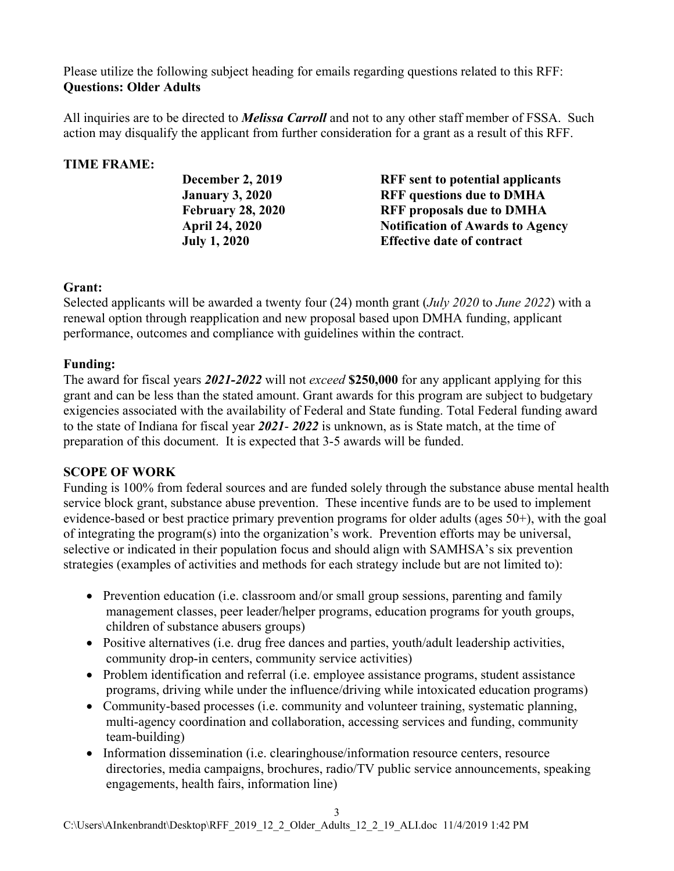Please utilize the following subject heading for emails regarding questions related to this RFF: **Questions: Older Adults**

All inquiries are to be directed to *Melissa Carroll* and not to any other staff member of FSSA. Such action may disqualify the applicant from further consideration for a grant as a result of this RFF.

# **TIME FRAME:**

**December 2, 2019 RFF sent to potential applicants January 3, 2020 RFF questions due to DMHA February 28, 2020 RFF proposals due to DMHA April 24, 2020 Notification of Awards to Agency July 1, 2020 Effective date of contract** 

## **Grant:**

Selected applicants will be awarded a twenty four (24) month grant (*July 2020* to *June 2022*) with a renewal option through reapplication and new proposal based upon DMHA funding, applicant performance, outcomes and compliance with guidelines within the contract.

## **Funding:**

The award for fiscal years *2021-2022* will not *exceed* **\$250,000** for any applicant applying for this grant and can be less than the stated amount. Grant awards for this program are subject to budgetary exigencies associated with the availability of Federal and State funding. Total Federal funding award to the state of Indiana for fiscal year *2021*- *2022* is unknown, as is State match, at the time of preparation of this document. It is expected that 3-5 awards will be funded.

# **SCOPE OF WORK**

Funding is 100% from federal sources and are funded solely through the substance abuse mental health service block grant, substance abuse prevention. These incentive funds are to be used to implement evidence-based or best practice primary prevention programs for older adults (ages 50+), with the goal of integrating the program(s) into the organization's work. Prevention efforts may be universal, selective or indicated in their population focus and should align with SAMHSA's six prevention strategies (examples of activities and methods for each strategy include but are not limited to):

- Prevention education (i.e. classroom and/or small group sessions, parenting and family management classes, peer leader/helper programs, education programs for youth groups, children of substance abusers groups)
- Positive alternatives (i.e. drug free dances and parties, youth/adult leadership activities, community drop-in centers, community service activities)
- Problem identification and referral (i.e. employee assistance programs, student assistance programs, driving while under the influence/driving while intoxicated education programs)
- Community-based processes (i.e. community and volunteer training, systematic planning, multi-agency coordination and collaboration, accessing services and funding, community team-building)
- Information dissemination (i.e. clearinghouse/information resource centers, resource directories, media campaigns, brochures, radio/TV public service announcements, speaking engagements, health fairs, information line)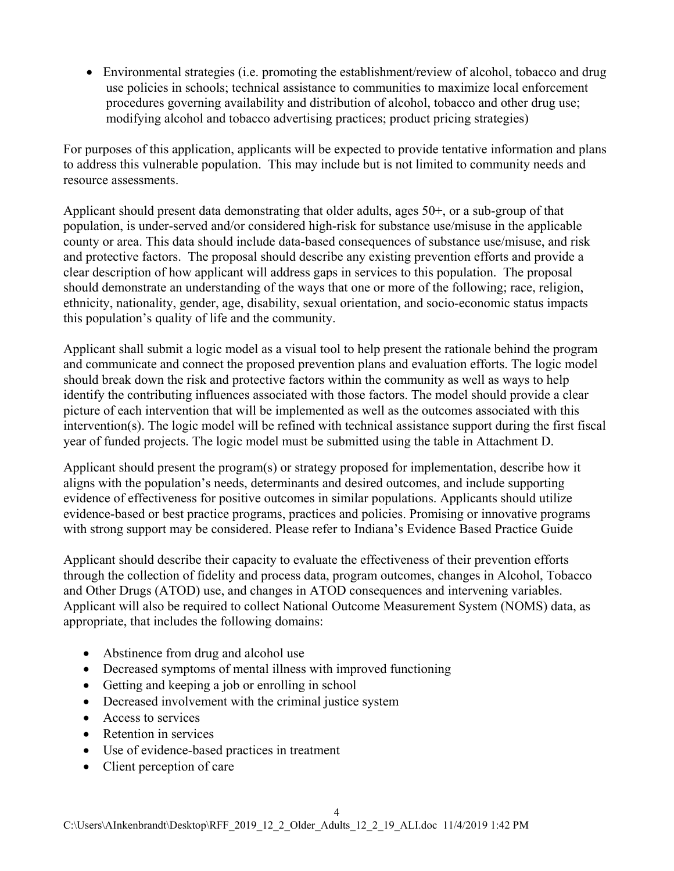• Environmental strategies (i.e. promoting the establishment/review of alcohol, tobacco and drug use policies in schools; technical assistance to communities to maximize local enforcement procedures governing availability and distribution of alcohol, tobacco and other drug use; modifying alcohol and tobacco advertising practices; product pricing strategies)

For purposes of this application, applicants will be expected to provide tentative information and plans to address this vulnerable population. This may include but is not limited to community needs and resource assessments.

Applicant should present data demonstrating that older adults, ages 50+, or a sub-group of that population, is under-served and/or considered high-risk for substance use/misuse in the applicable county or area. This data should include data-based consequences of substance use/misuse, and risk and protective factors. The proposal should describe any existing prevention efforts and provide a clear description of how applicant will address gaps in services to this population. The proposal should demonstrate an understanding of the ways that one or more of the following; race, religion, ethnicity, nationality, gender, age, disability, sexual orientation, and socio-economic status impacts this population's quality of life and the community.

Applicant shall submit a logic model as a visual tool to help present the rationale behind the program and communicate and connect the proposed prevention plans and evaluation efforts. The logic model should break down the risk and protective factors within the community as well as ways to help identify the contributing influences associated with those factors. The model should provide a clear picture of each intervention that will be implemented as well as the outcomes associated with this intervention(s). The logic model will be refined with technical assistance support during the first fiscal year of funded projects. The logic model must be submitted using the table in Attachment D.

Applicant should present the program(s) or strategy proposed for implementation, describe how it aligns with the population's needs, determinants and desired outcomes, and include supporting evidence of effectiveness for positive outcomes in similar populations. Applicants should utilize evidence-based or best practice programs, practices and policies. Promising or innovative programs with strong support may be considered. Please refer to Indiana's Evidence Based Practice Guide

Applicant should describe their capacity to evaluate the effectiveness of their prevention efforts through the collection of fidelity and process data, program outcomes, changes in Alcohol, Tobacco and Other Drugs (ATOD) use, and changes in ATOD consequences and intervening variables. Applicant will also be required to collect National Outcome Measurement System (NOMS) data, as appropriate, that includes the following domains:

- Abstinence from drug and alcohol use
- Decreased symptoms of mental illness with improved functioning
- Getting and keeping a job or enrolling in school
- Decreased involvement with the criminal justice system
- Access to services
- Retention in services
- Use of evidence-based practices in treatment
- Client perception of care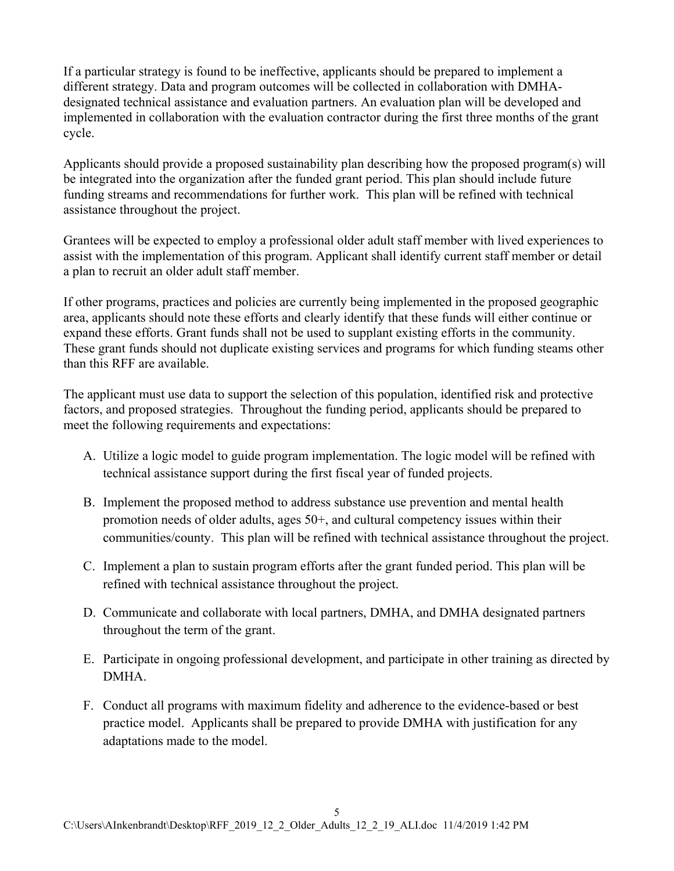If a particular strategy is found to be ineffective, applicants should be prepared to implement a different strategy. Data and program outcomes will be collected in collaboration with DMHAdesignated technical assistance and evaluation partners. An evaluation plan will be developed and implemented in collaboration with the evaluation contractor during the first three months of the grant cycle.

Applicants should provide a proposed sustainability plan describing how the proposed program(s) will be integrated into the organization after the funded grant period. This plan should include future funding streams and recommendations for further work. This plan will be refined with technical assistance throughout the project.

Grantees will be expected to employ a professional older adult staff member with lived experiences to assist with the implementation of this program. Applicant shall identify current staff member or detail a plan to recruit an older adult staff member.

If other programs, practices and policies are currently being implemented in the proposed geographic area, applicants should note these efforts and clearly identify that these funds will either continue or expand these efforts. Grant funds shall not be used to supplant existing efforts in the community. These grant funds should not duplicate existing services and programs for which funding steams other than this RFF are available.

The applicant must use data to support the selection of this population, identified risk and protective factors, and proposed strategies. Throughout the funding period, applicants should be prepared to meet the following requirements and expectations:

- A. Utilize a logic model to guide program implementation. The logic model will be refined with technical assistance support during the first fiscal year of funded projects.
- B. Implement the proposed method to address substance use prevention and mental health promotion needs of older adults, ages 50+, and cultural competency issues within their communities/county. This plan will be refined with technical assistance throughout the project.
- C. Implement a plan to sustain program efforts after the grant funded period. This plan will be refined with technical assistance throughout the project.
- D. Communicate and collaborate with local partners, DMHA, and DMHA designated partners throughout the term of the grant.
- E. Participate in ongoing professional development, and participate in other training as directed by DMHA.
- F. Conduct all programs with maximum fidelity and adherence to the evidence-based or best practice model. Applicants shall be prepared to provide DMHA with justification for any adaptations made to the model.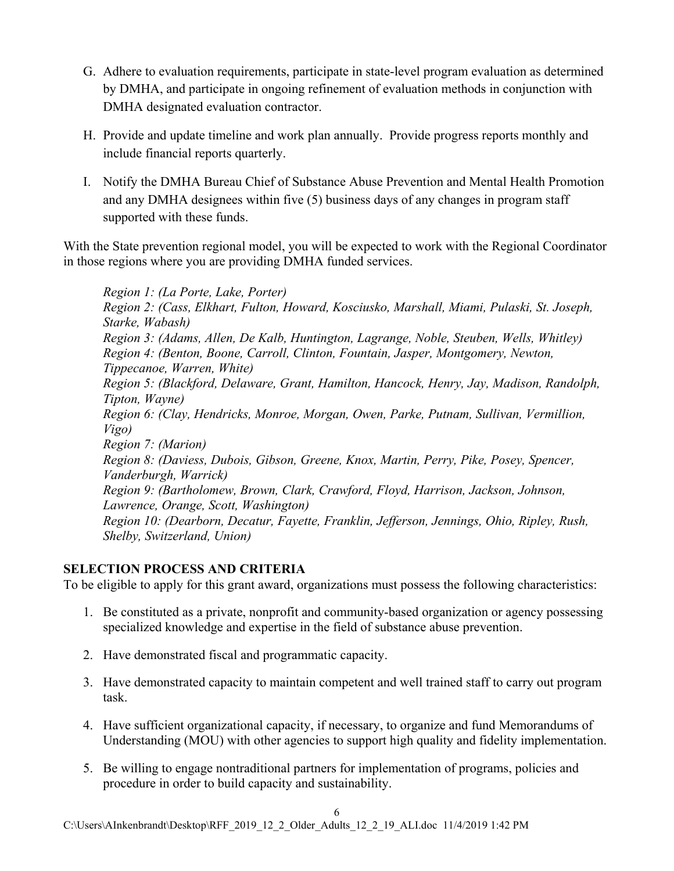- G. Adhere to evaluation requirements, participate in state-level program evaluation as determined by DMHA, and participate in ongoing refinement of evaluation methods in conjunction with DMHA designated evaluation contractor.
- H. Provide and update timeline and work plan annually. Provide progress reports monthly and include financial reports quarterly.
- I. Notify the DMHA Bureau Chief of Substance Abuse Prevention and Mental Health Promotion and any DMHA designees within five (5) business days of any changes in program staff supported with these funds.

With the State prevention regional model, you will be expected to work with the Regional Coordinator in those regions where you are providing DMHA funded services.

*Region 1: (La Porte, Lake, Porter) Region 2: (Cass, Elkhart, Fulton, Howard, Kosciusko, Marshall, Miami, Pulaski, St. Joseph, Starke, Wabash) Region 3: (Adams, Allen, De Kalb, Huntington, Lagrange, Noble, Steuben, Wells, Whitley) Region 4: (Benton, Boone, Carroll, Clinton, Fountain, Jasper, Montgomery, Newton, Tippecanoe, Warren, White) Region 5: (Blackford, Delaware, Grant, Hamilton, Hancock, Henry, Jay, Madison, Randolph, Tipton, Wayne) Region 6: (Clay, Hendricks, Monroe, Morgan, Owen, Parke, Putnam, Sullivan, Vermillion, Vigo) Region 7: (Marion) Region 8: (Daviess, Dubois, Gibson, Greene, Knox, Martin, Perry, Pike, Posey, Spencer, Vanderburgh, Warrick) Region 9: (Bartholomew, Brown, Clark, Crawford, Floyd, Harrison, Jackson, Johnson, Lawrence, Orange, Scott, Washington) Region 10: (Dearborn, Decatur, Fayette, Franklin, Jefferson, Jennings, Ohio, Ripley, Rush, Shelby, Switzerland, Union)*

## **SELECTION PROCESS AND CRITERIA**

To be eligible to apply for this grant award, organizations must possess the following characteristics:

- 1. Be constituted as a private, nonprofit and community-based organization or agency possessing specialized knowledge and expertise in the field of substance abuse prevention.
- 2. Have demonstrated fiscal and programmatic capacity.
- 3. Have demonstrated capacity to maintain competent and well trained staff to carry out program task.
- 4. Have sufficient organizational capacity, if necessary, to organize and fund Memorandums of Understanding (MOU) with other agencies to support high quality and fidelity implementation.
- 5. Be willing to engage nontraditional partners for implementation of programs, policies and procedure in order to build capacity and sustainability.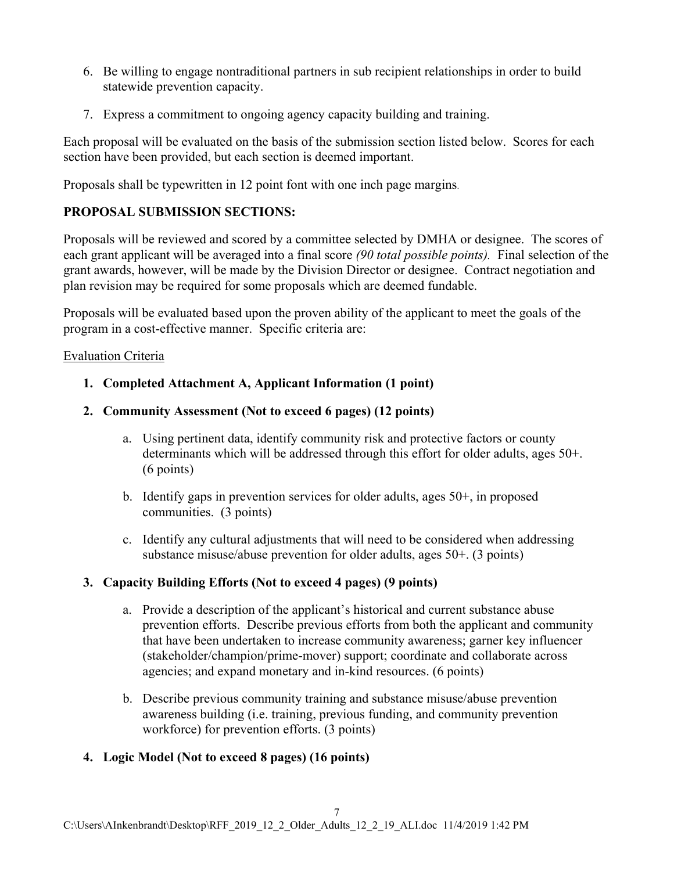- 6. Be willing to engage nontraditional partners in sub recipient relationships in order to build statewide prevention capacity.
- 7. Express a commitment to ongoing agency capacity building and training.

Each proposal will be evaluated on the basis of the submission section listed below. Scores for each section have been provided, but each section is deemed important.

Proposals shall be typewritten in 12 point font with one inch page margins.

# **PROPOSAL SUBMISSION SECTIONS:**

Proposals will be reviewed and scored by a committee selected by DMHA or designee. The scores of each grant applicant will be averaged into a final score *(90 total possible points).* Final selection of the grant awards, however, will be made by the Division Director or designee. Contract negotiation and plan revision may be required for some proposals which are deemed fundable.

Proposals will be evaluated based upon the proven ability of the applicant to meet the goals of the program in a cost-effective manner. Specific criteria are:

#### Evaluation Criteria

- **1. Completed Attachment A, Applicant Information (1 point)**
- **2. Community Assessment (Not to exceed 6 pages) (12 points)**
	- a. Using pertinent data, identify community risk and protective factors or county determinants which will be addressed through this effort for older adults, ages 50+. (6 points)
	- b. Identify gaps in prevention services for older adults, ages  $50<sup>+</sup>$ , in proposed communities. (3 points)
	- c. Identify any cultural adjustments that will need to be considered when addressing substance misuse/abuse prevention for older adults, ages 50+. (3 points)

## **3. Capacity Building Efforts (Not to exceed 4 pages) (9 points)**

- a. Provide a description of the applicant's historical and current substance abuse prevention efforts. Describe previous efforts from both the applicant and community that have been undertaken to increase community awareness; garner key influencer (stakeholder/champion/prime-mover) support; coordinate and collaborate across agencies; and expand monetary and in-kind resources. (6 points)
- b. Describe previous community training and substance misuse/abuse prevention awareness building (i.e. training, previous funding, and community prevention workforce) for prevention efforts. (3 points)

## **4. Logic Model (Not to exceed 8 pages) (16 points)**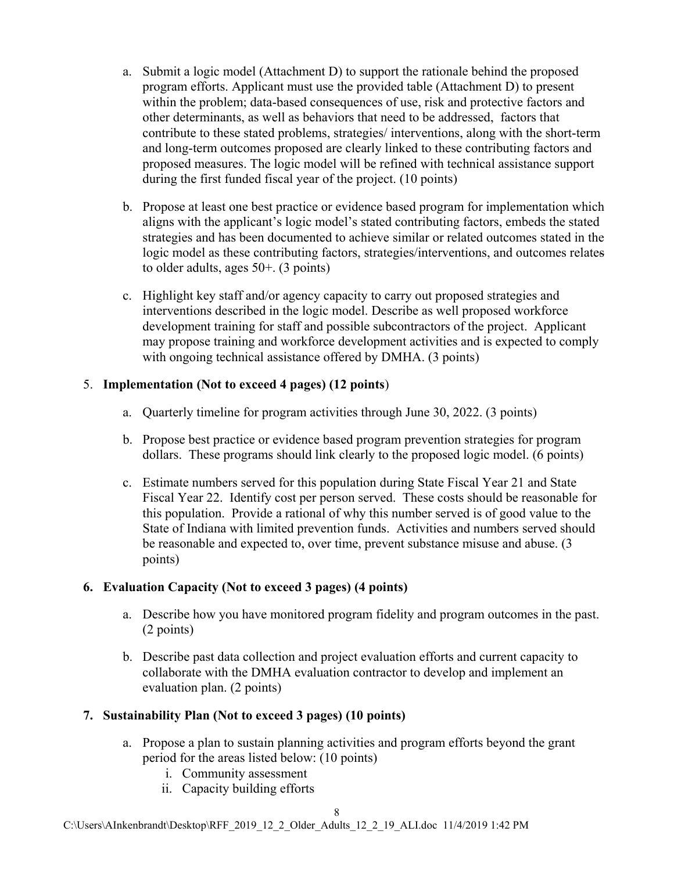- a. Submit a logic model (Attachment D) to support the rationale behind the proposed program efforts. Applicant must use the provided table (Attachment D) to present within the problem; data-based consequences of use, risk and protective factors and other determinants, as well as behaviors that need to be addressed, factors that contribute to these stated problems, strategies/ interventions, along with the short-term and long-term outcomes proposed are clearly linked to these contributing factors and proposed measures. The logic model will be refined with technical assistance support during the first funded fiscal year of the project. (10 points)
- b. Propose at least one best practice or evidence based program for implementation which aligns with the applicant's logic model's stated contributing factors, embeds the stated strategies and has been documented to achieve similar or related outcomes stated in the logic model as these contributing factors, strategies/interventions, and outcomes relates to older adults, ages 50+. (3 points)
- c. Highlight key staff and/or agency capacity to carry out proposed strategies and interventions described in the logic model. Describe as well proposed workforce development training for staff and possible subcontractors of the project. Applicant may propose training and workforce development activities and is expected to comply with ongoing technical assistance offered by DMHA. (3 points)

## 5. **Implementation (Not to exceed 4 pages) (12 points**)

- a. Quarterly timeline for program activities through June 30, 2022. (3 points)
- b. Propose best practice or evidence based program prevention strategies for program dollars. These programs should link clearly to the proposed logic model. (6 points)
- c. Estimate numbers served for this population during State Fiscal Year 21 and State Fiscal Year 22. Identify cost per person served. These costs should be reasonable for this population. Provide a rational of why this number served is of good value to the State of Indiana with limited prevention funds. Activities and numbers served should be reasonable and expected to, over time, prevent substance misuse and abuse. (3 points)

# **6. Evaluation Capacity (Not to exceed 3 pages) (4 points)**

- a. Describe how you have monitored program fidelity and program outcomes in the past. (2 points)
- b. Describe past data collection and project evaluation efforts and current capacity to collaborate with the DMHA evaluation contractor to develop and implement an evaluation plan. (2 points)

# **7. Sustainability Plan (Not to exceed 3 pages) (10 points)**

- a. Propose a plan to sustain planning activities and program efforts beyond the grant period for the areas listed below: (10 points)
	- i. Community assessment
	- ii. Capacity building efforts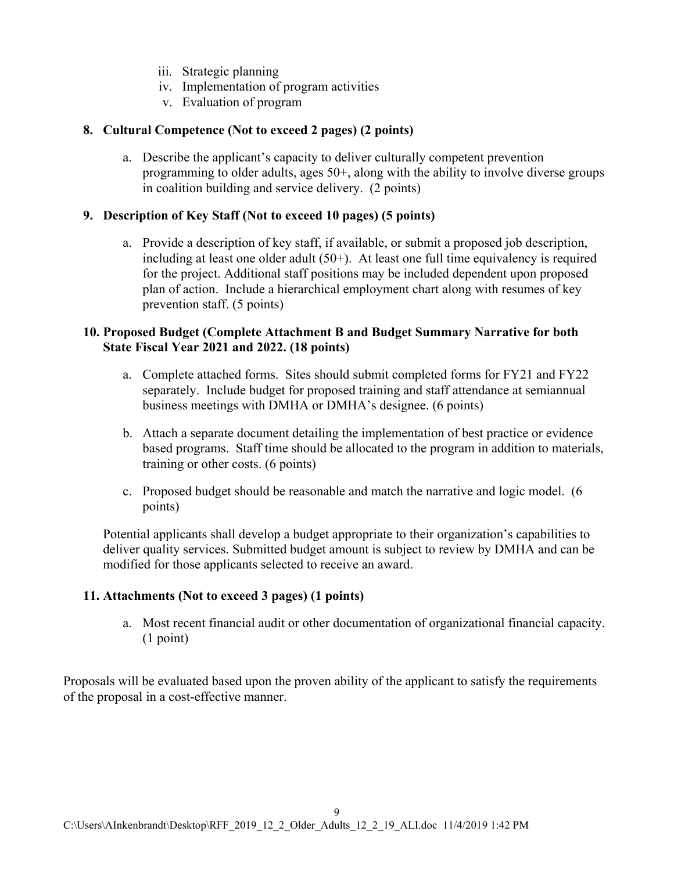- iii. Strategic planning
- iv. Implementation of program activities
- v. Evaluation of program

#### **8. Cultural Competence (Not to exceed 2 pages) (2 points)**

a. Describe the applicant's capacity to deliver culturally competent prevention programming to older adults, ages  $50<sup>+</sup>$ , along with the ability to involve diverse groups in coalition building and service delivery. (2 points)

#### **9. Description of Key Staff (Not to exceed 10 pages) (5 points)**

a. Provide a description of key staff, if available, or submit a proposed job description, including at least one older adult (50+). At least one full time equivalency is required for the project. Additional staff positions may be included dependent upon proposed plan of action. Include a hierarchical employment chart along with resumes of key prevention staff. (5 points)

#### **10. Proposed Budget (Complete Attachment B and Budget Summary Narrative for both State Fiscal Year 2021 and 2022. (18 points)**

- a. Complete attached forms. Sites should submit completed forms for FY21 and FY22 separately. Include budget for proposed training and staff attendance at semiannual business meetings with DMHA or DMHA's designee. (6 points)
- b. Attach a separate document detailing the implementation of best practice or evidence based programs. Staff time should be allocated to the program in addition to materials, training or other costs. (6 points)
- c. Proposed budget should be reasonable and match the narrative and logic model. (6 points)

Potential applicants shall develop a budget appropriate to their organization's capabilities to deliver quality services. Submitted budget amount is subject to review by DMHA and can be modified for those applicants selected to receive an award.

## **11. Attachments (Not to exceed 3 pages) (1 points)**

a. Most recent financial audit or other documentation of organizational financial capacity. (1 point)

Proposals will be evaluated based upon the proven ability of the applicant to satisfy the requirements of the proposal in a cost-effective manner.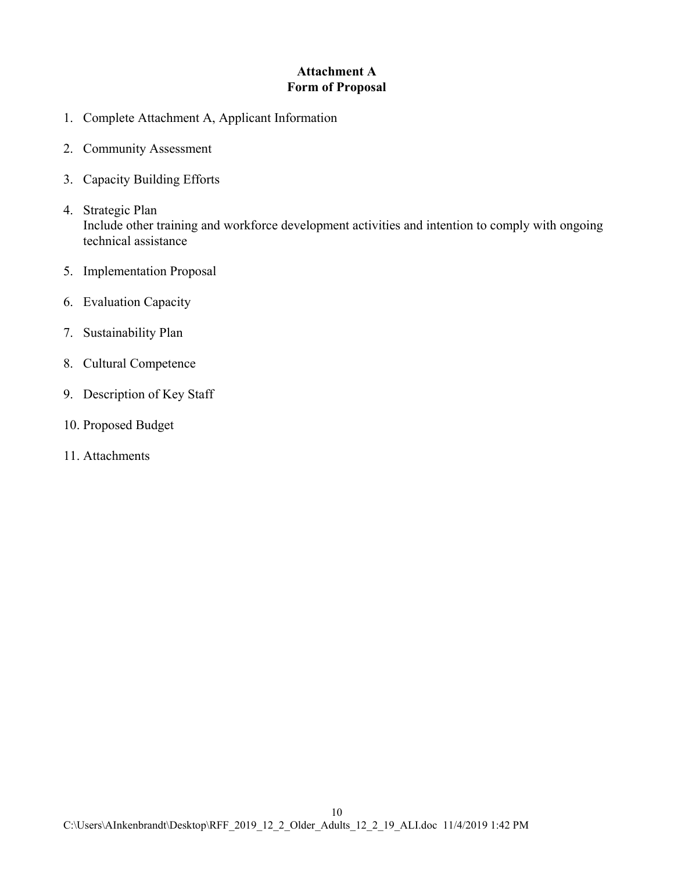## **Attachment A Form of Proposal**

- 1. Complete Attachment A, Applicant Information
- 2. Community Assessment
- 3. Capacity Building Efforts
- 4. Strategic Plan Include other training and workforce development activities and intention to comply with ongoing technical assistance
- 5. Implementation Proposal
- 6. Evaluation Capacity
- 7. Sustainability Plan
- 8. Cultural Competence
- 9. Description of Key Staff
- 10. Proposed Budget
- 11. Attachments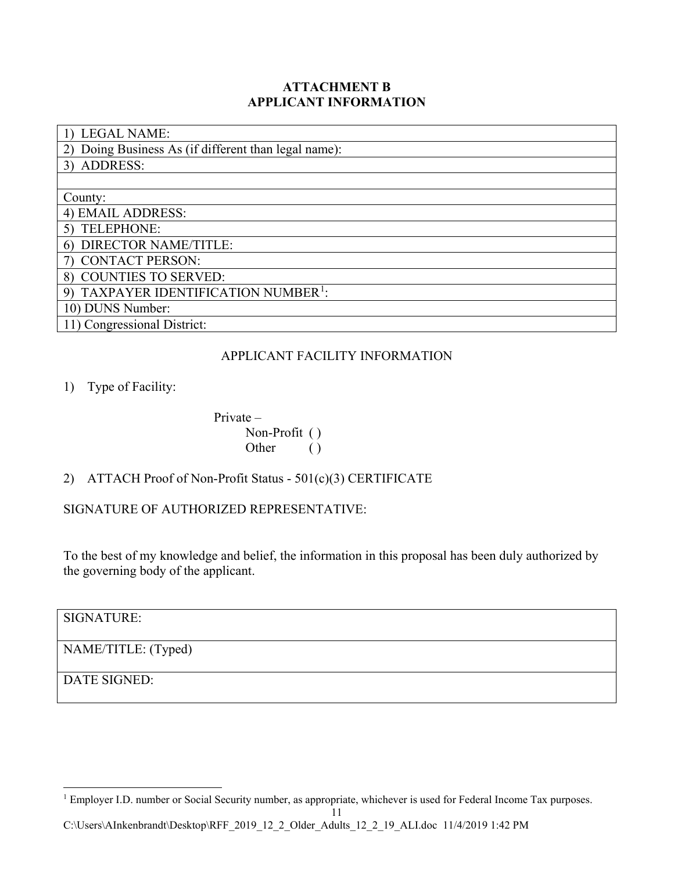## **ATTACHMENT B APPLICANT INFORMATION**

| <b>LEGAL NAME:</b>                                  |
|-----------------------------------------------------|
| Doing Business As (if different than legal name):   |
| <b>ADDRESS:</b><br>3)                               |
|                                                     |
| County:                                             |
| 4) EMAIL ADDRESS:                                   |
| <b>TELEPHONE:</b>                                   |
| DIRECTOR NAME/TITLE:<br>6)                          |
| <b>CONTACT PERSON:</b>                              |
| 8) COUNTIES TO SERVED:                              |
| TAXPAYER IDENTIFICATION NUMBER <sup>1</sup> :<br>9) |
| 10) DUNS Number:                                    |
| 11) Congressional District:                         |

## APPLICANT FACILITY INFORMATION

## 1) Type of Facility:

Private – Non-Profit ( ) Other ()

# 2) ATTACH Proof of Non-Profit Status - 501(c)(3) CERTIFICATE

SIGNATURE OF AUTHORIZED REPRESENTATIVE:

To the best of my knowledge and belief, the information in this proposal has been duly authorized by the governing body of the applicant.

SIGNATURE:

NAME/TITLE: (Typed)

DATE SIGNED:

<span id="page-10-0"></span><sup>&</sup>lt;sup>1</sup> Employer I.D. number or Social Security number, as appropriate, whichever is used for Federal Income Tax purposes.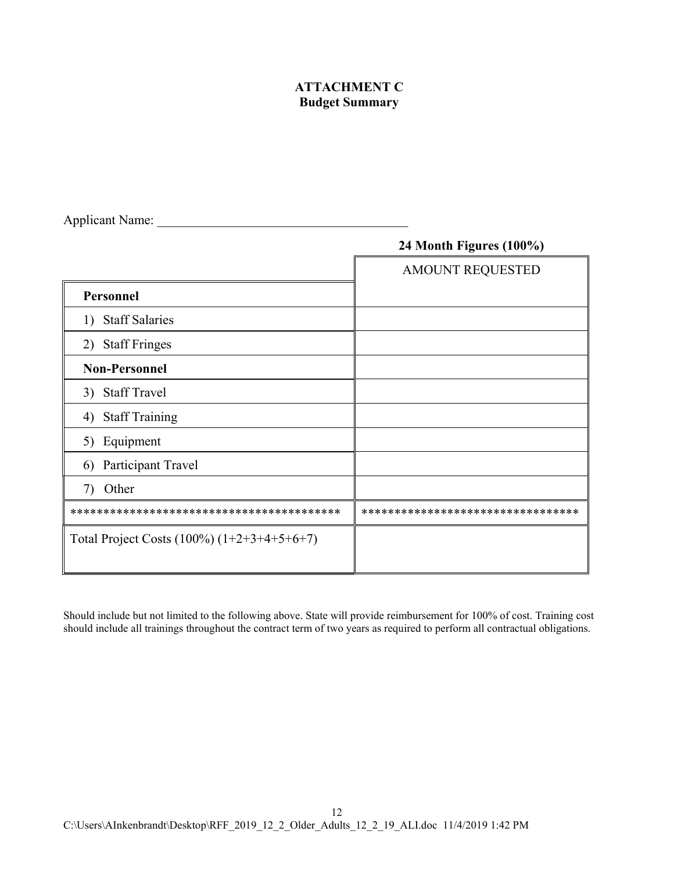## **ATTACHMENT C Budget Summary**

|                                               | 24 Month Figures (100%)           |
|-----------------------------------------------|-----------------------------------|
|                                               | <b>AMOUNT REQUESTED</b>           |
| Personnel                                     |                                   |
| <b>Staff Salaries</b><br>1)                   |                                   |
| <b>Staff Fringes</b><br>2)                    |                                   |
| <b>Non-Personnel</b>                          |                                   |
| <b>Staff Travel</b><br>3)                     |                                   |
| <b>Staff Training</b><br>4)                   |                                   |
| Equipment<br>5)                               |                                   |
| Participant Travel<br>6)                      |                                   |
| Other<br>7)                                   |                                   |
|                                               | ********************************* |
| Total Project Costs $(100\%) (1+2+3+4+5+6+7)$ |                                   |

Applicant Name: \_\_\_\_\_\_\_\_\_\_\_\_\_\_\_\_\_\_\_\_\_\_\_\_\_\_\_\_\_\_\_\_\_\_\_\_\_\_

Should include but not limited to the following above. State will provide reimbursement for 100% of cost. Training cost should include all trainings throughout the contract term of two years as required to perform all contractual obligations.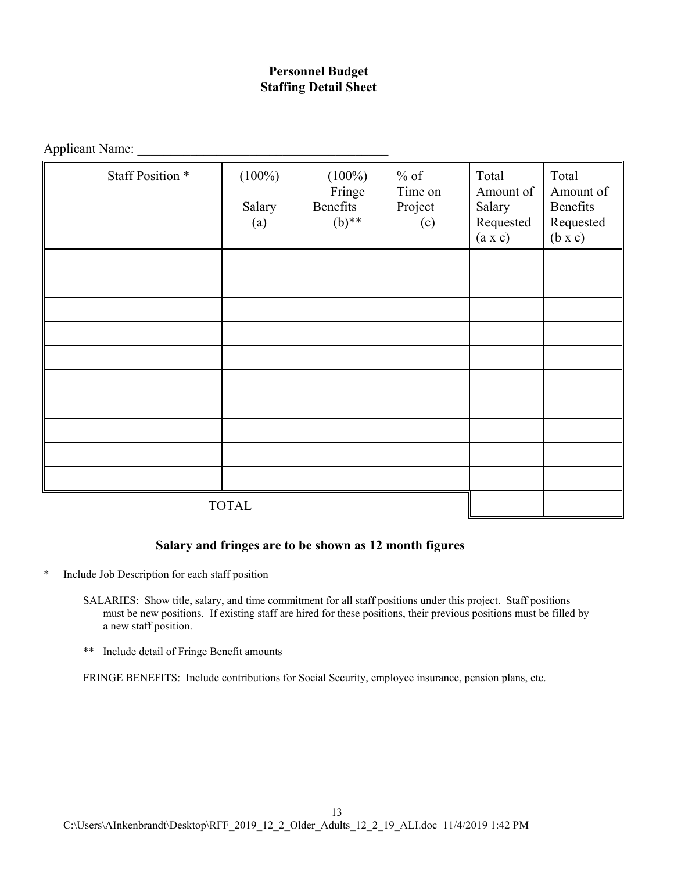## **Personnel Budget Staffing Detail Sheet**

Applicant Name:

| Staff Position * | $(100\%)$<br>Salary<br>(a) | $(100\%)$<br>Fringe<br>Benefits<br>$(b)$ ** | $%$ of<br>Time on<br>Project<br>(c) | Total<br>Amount of<br>Salary<br>Requested<br>(a x c) | Total<br>Amount of<br>Benefits<br>Requested<br>$(b \times c)$ |
|------------------|----------------------------|---------------------------------------------|-------------------------------------|------------------------------------------------------|---------------------------------------------------------------|
|                  |                            |                                             |                                     |                                                      |                                                               |
|                  |                            |                                             |                                     |                                                      |                                                               |
|                  |                            |                                             |                                     |                                                      |                                                               |
|                  |                            |                                             |                                     |                                                      |                                                               |
|                  |                            |                                             |                                     |                                                      |                                                               |
|                  |                            |                                             |                                     |                                                      |                                                               |
|                  |                            |                                             |                                     |                                                      |                                                               |
|                  |                            |                                             |                                     |                                                      |                                                               |
|                  |                            |                                             |                                     |                                                      |                                                               |
|                  |                            |                                             |                                     |                                                      |                                                               |
| <b>TOTAL</b>     |                            |                                             |                                     |                                                      |                                                               |

#### **Salary and fringes are to be shown as 12 month figures**

- \* Include Job Description for each staff position
	- SALARIES: Show title, salary, and time commitment for all staff positions under this project. Staff positions must be new positions. If existing staff are hired for these positions, their previous positions must be filled by a new staff position.
	- \*\* Include detail of Fringe Benefit amounts

FRINGE BENEFITS: Include contributions for Social Security, employee insurance, pension plans, etc.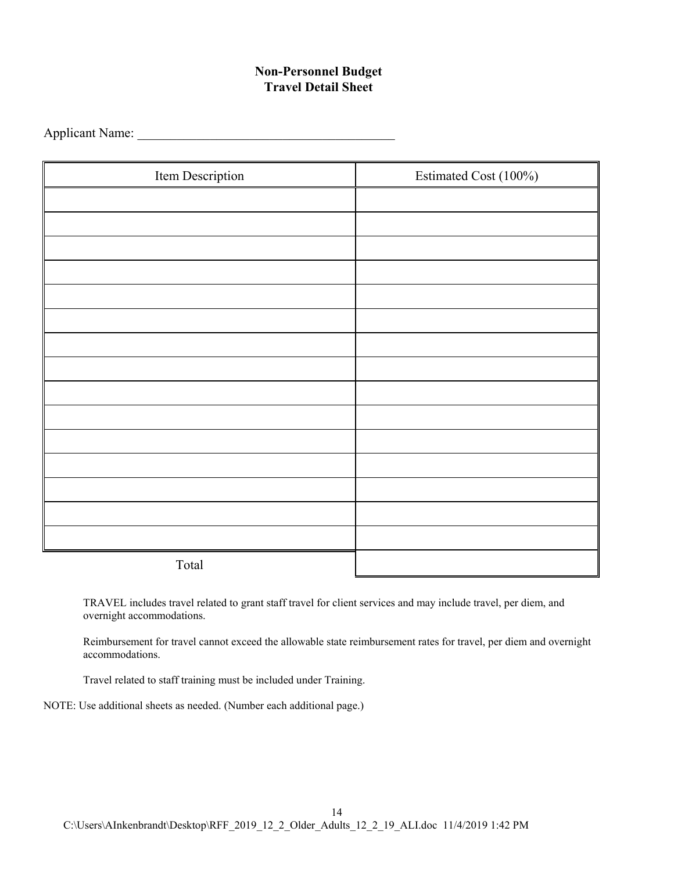## **Non-Personnel Budget Travel Detail Sheet**

Applicant Name:

| Item Description | Estimated Cost (100%) |
|------------------|-----------------------|
|                  |                       |
|                  |                       |
|                  |                       |
|                  |                       |
|                  |                       |
|                  |                       |
|                  |                       |
|                  |                       |
|                  |                       |
|                  |                       |
|                  |                       |
|                  |                       |
|                  |                       |
|                  |                       |
|                  |                       |
| Total            |                       |

TRAVEL includes travel related to grant staff travel for client services and may include travel, per diem, and overnight accommodations.

Reimbursement for travel cannot exceed the allowable state reimbursement rates for travel, per diem and overnight accommodations.

Travel related to staff training must be included under Training.

NOTE: Use additional sheets as needed. (Number each additional page.)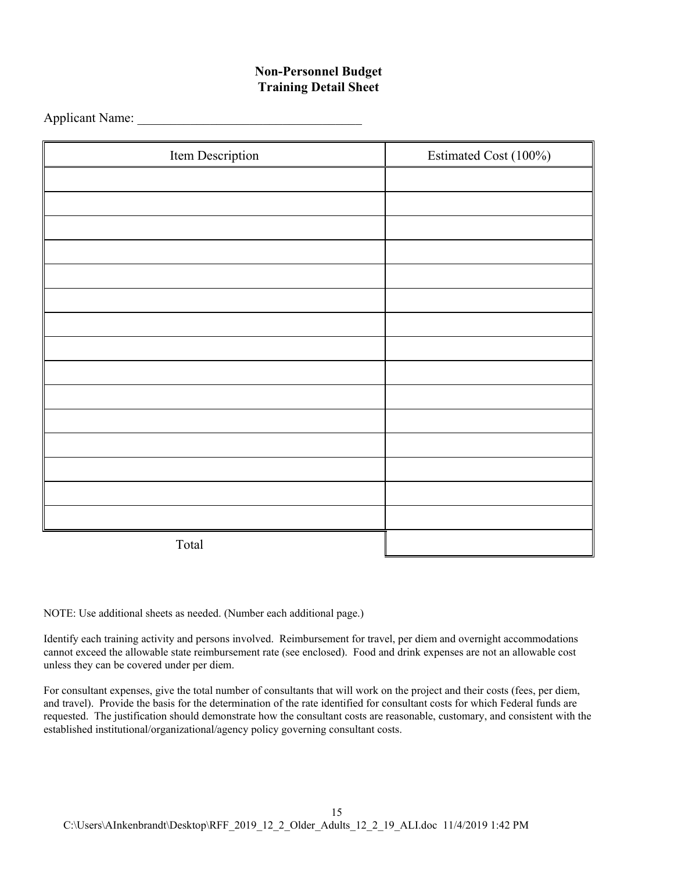## **Non-Personnel Budget Training Detail Sheet**

Applicant Name:

| Item Description | Estimated Cost (100%) |
|------------------|-----------------------|
|                  |                       |
|                  |                       |
|                  |                       |
|                  |                       |
|                  |                       |
|                  |                       |
|                  |                       |
|                  |                       |
|                  |                       |
|                  |                       |
|                  |                       |
|                  |                       |
|                  |                       |
|                  |                       |
|                  |                       |
| Total            |                       |

NOTE: Use additional sheets as needed. (Number each additional page.)

Identify each training activity and persons involved. Reimbursement for travel, per diem and overnight accommodations cannot exceed the allowable state reimbursement rate (see enclosed). Food and drink expenses are not an allowable cost unless they can be covered under per diem.

For consultant expenses, give the total number of consultants that will work on the project and their costs (fees, per diem, and travel). Provide the basis for the determination of the rate identified for consultant costs for which Federal funds are requested. The justification should demonstrate how the consultant costs are reasonable, customary, and consistent with the established institutional/organizational/agency policy governing consultant costs.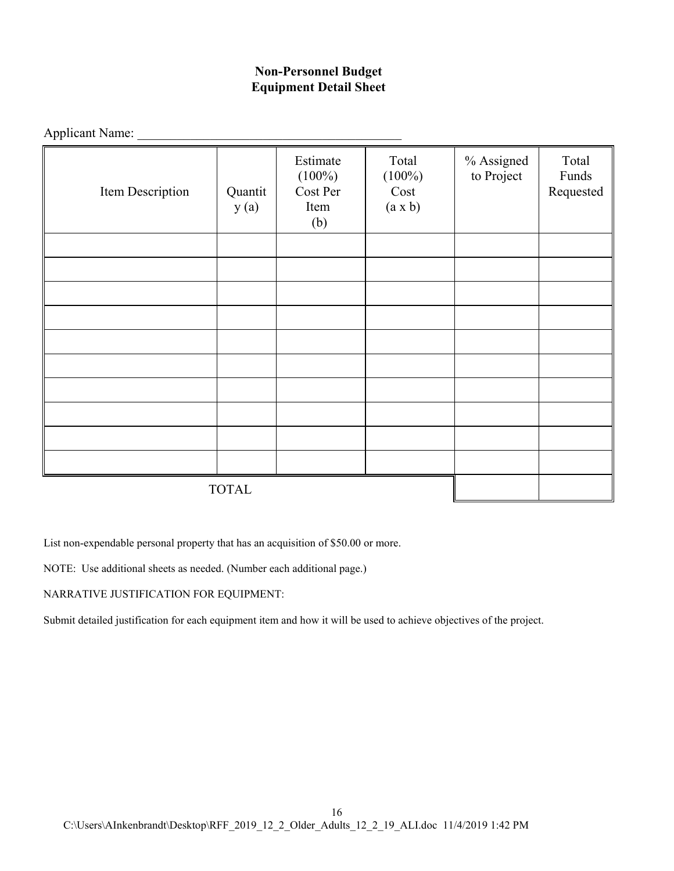# **Non-Personnel Budget Equipment Detail Sheet**

| Applicant Name:  |                 |                                                  |                                       |                          |                             |
|------------------|-----------------|--------------------------------------------------|---------------------------------------|--------------------------|-----------------------------|
| Item Description | Quantit<br>y(a) | Estimate<br>$(100\%)$<br>Cost Per<br>Item<br>(b) | Total<br>$(100\%)$<br>Cost<br>(a x b) | % Assigned<br>to Project | Total<br>Funds<br>Requested |
|                  |                 |                                                  |                                       |                          |                             |
|                  |                 |                                                  |                                       |                          |                             |
|                  |                 |                                                  |                                       |                          |                             |
|                  |                 |                                                  |                                       |                          |                             |
|                  |                 |                                                  |                                       |                          |                             |
|                  |                 |                                                  |                                       |                          |                             |
|                  |                 |                                                  |                                       |                          |                             |
|                  |                 |                                                  |                                       |                          |                             |
|                  |                 |                                                  |                                       |                          |                             |
|                  |                 |                                                  |                                       |                          |                             |
|                  | <b>TOTAL</b>    |                                                  |                                       |                          |                             |

List non-expendable personal property that has an acquisition of \$50.00 or more.

NOTE: Use additional sheets as needed. (Number each additional page.)

NARRATIVE JUSTIFICATION FOR EQUIPMENT:

Submit detailed justification for each equipment item and how it will be used to achieve objectives of the project.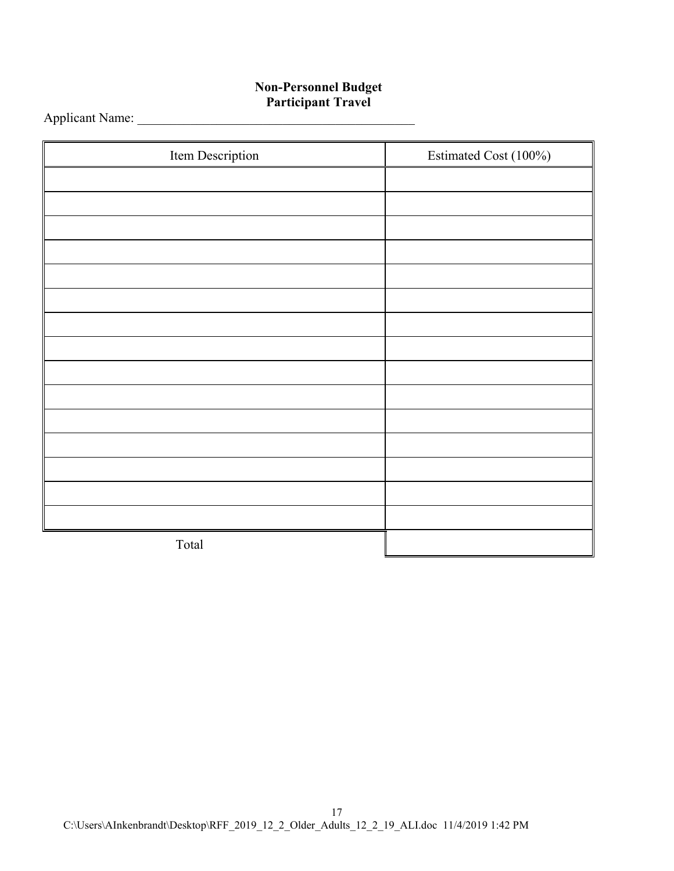#### **Non-Personnel Budget Participant Travel**

Applicant Name: \_\_\_\_\_\_\_\_\_\_\_\_\_\_\_\_\_\_\_\_\_\_\_\_\_\_\_\_\_\_\_\_\_\_\_\_\_\_\_\_\_\_

| Item Description | Estimated Cost (100%) |
|------------------|-----------------------|
|                  |                       |
|                  |                       |
|                  |                       |
|                  |                       |
|                  |                       |
|                  |                       |
|                  |                       |
|                  |                       |
|                  |                       |
|                  |                       |
|                  |                       |
|                  |                       |
|                  |                       |
|                  |                       |
|                  |                       |
| Total            |                       |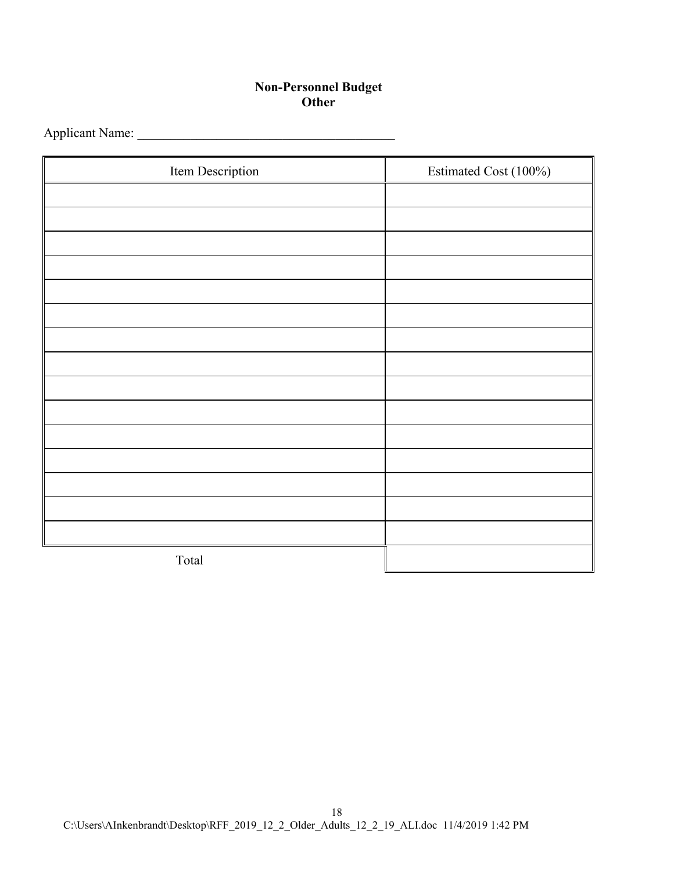#### **Non-Personnel Budget Other**

Applicant Name: \_\_\_\_\_\_\_\_\_\_\_\_\_\_\_\_\_\_\_\_\_\_\_\_\_\_\_\_\_\_\_\_\_\_\_\_\_\_\_

| Item Description | Estimated Cost (100%) |
|------------------|-----------------------|
|                  |                       |
|                  |                       |
|                  |                       |
|                  |                       |
|                  |                       |
|                  |                       |
|                  |                       |
|                  |                       |
|                  |                       |
|                  |                       |
|                  |                       |
|                  |                       |
|                  |                       |
|                  |                       |
|                  |                       |
| Total            |                       |